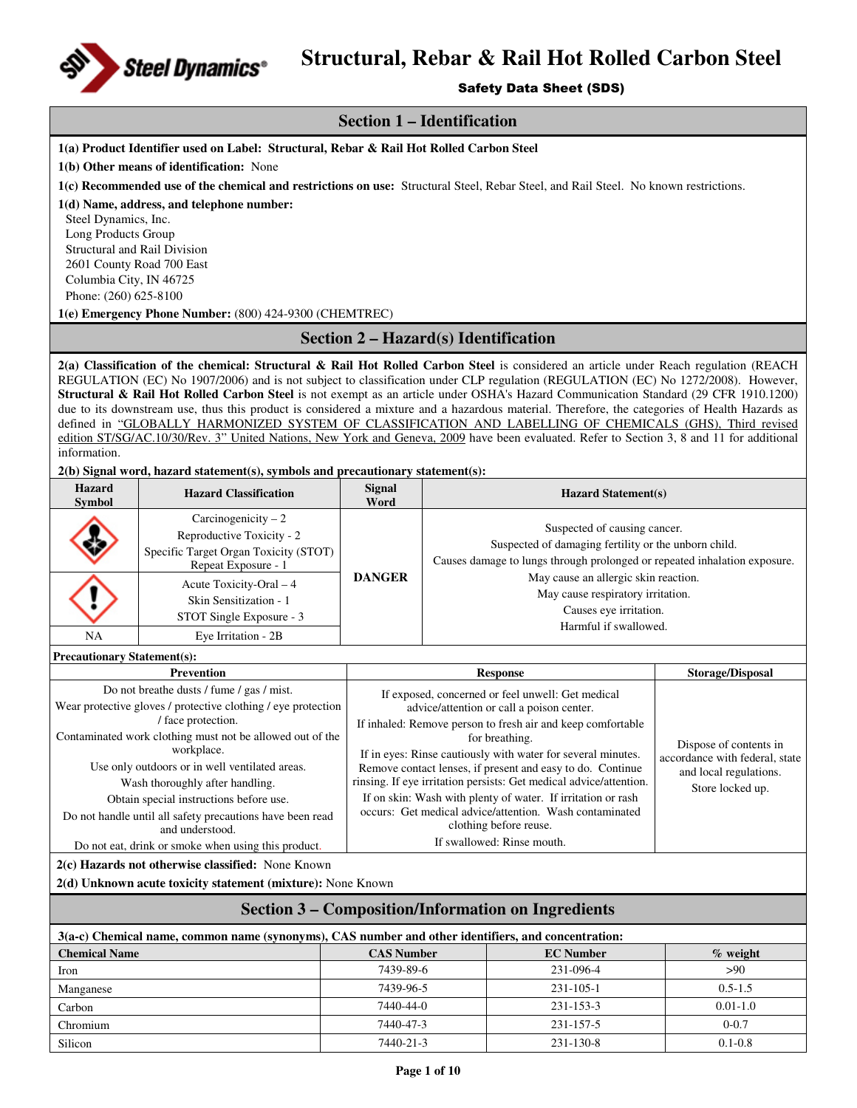

#### Safety Data Sheet (SDS)

### **Section 1 – Identification**

**1(a) Product Identifier used on Label: Structural, Rebar & Rail Hot Rolled Carbon Steel** 

**1(b) Other means of identification:** None

**1(c) Recommended use of the chemical and restrictions on use:** Structural Steel, Rebar Steel, and Rail Steel. No known restrictions.

**1(d) Name, address, and telephone number:** 

Steel Dynamics, Inc. Long Products Group Structural and Rail Division 2601 County Road 700 East Columbia City, IN 46725 Phone: (260) 625-8100

**1(e) Emergency Phone Number:** (800) 424-9300 (CHEMTREC)

#### **Section 2 – Hazard(s) Identification**

**2(a) Classification of the chemical: Structural & Rail Hot Rolled Carbon Steel** is considered an article under Reach regulation (REACH REGULATION (EC) No 1907/2006) and is not subject to classification under CLP regulation (REGULATION (EC) No 1272/2008). However, **Structural & Rail Hot Rolled Carbon Steel** is not exempt as an article under OSHA's Hazard Communication Standard (29 CFR 1910.1200) due to its downstream use, thus this product is considered a mixture and a hazardous material. Therefore, the categories of Health Hazards as defined in "GLOBALLY HARMONIZED SYSTEM OF CLASSIFICATION AND LABELLING OF CHEMICALS (GHS), Third revised edition ST/SG/AC.10/30/Rev. 3" United Nations, New York and Geneva, 2009 have been evaluated. Refer to Section 3, 8 and 11 for additional information.

#### **2(b) Signal word, hazard statement(s), symbols and precautionary statement(s):**

| Hazard<br><b>Symbol</b> | <b>Hazard Classification</b>                                                                                      | <b>Signal</b><br>Word | <b>Hazard Statement(s)</b>                                                                                                                                        |  |  |  |
|-------------------------|-------------------------------------------------------------------------------------------------------------------|-----------------------|-------------------------------------------------------------------------------------------------------------------------------------------------------------------|--|--|--|
|                         | Carcinogenicity $-2$<br>Reproductive Toxicity - 2<br>Specific Target Organ Toxicity (STOT)<br>Repeat Exposure - 1 |                       | Suspected of causing cancer.<br>Suspected of damaging fertility or the unborn child.<br>Causes damage to lungs through prolonged or repeated inhalation exposure. |  |  |  |
|                         | Acute Toxicity-Oral $-4$<br>Skin Sensitization - 1<br>STOT Single Exposure - 3                                    | <b>DANGER</b>         | May cause an allergic skin reaction.<br>May cause respiratory irritation.<br>Causes eye irritation.<br>Harmful if swallowed.                                      |  |  |  |
| NA                      | Eye Irritation - 2B                                                                                               |                       |                                                                                                                                                                   |  |  |  |

**Precautionary Statement(s):**

| <b>Prevention</b>                                             | <b>Response</b>                                                    | Storage/Disposal                                                                                       |
|---------------------------------------------------------------|--------------------------------------------------------------------|--------------------------------------------------------------------------------------------------------|
| Do not breatherdusts / fume / gas / mist.                     | If exposed, concerned or feel unwell: Get medical                  |                                                                                                        |
| Wear protective gloves / protective clothing / eye protection | advice/attention or call a poison center.                          |                                                                                                        |
| face protection.                                              | If inhaled: Remove person to fresh air and keep comfortable        | Dispose of contents in<br>accordance with federal, state<br>and local regulations.<br>Store locked up. |
| Contaminated work clothing must not be allowed out of the     | for breathing.                                                     |                                                                                                        |
| workplace.                                                    | If in eyes: Rinse cautiously with water for several minutes.       |                                                                                                        |
| Use only outdoors or in well ventilated areas.                | Remove contact lenses, if present and easy to do. Continue         |                                                                                                        |
| Wash thoroughly after handling.                               | rinsing. If eye irritation persists: Get medical advice/attention. |                                                                                                        |
| Obtain special instructions before use.                       | If on skin: Wash with plenty of water. If irritation or rash       |                                                                                                        |
| Do not handle until all safety precautions have been read     | occurs: Get medical advice/attention. Wash contaminated            |                                                                                                        |
| and understood.                                               | clothing before reuse.                                             |                                                                                                        |
| Do not eat, drink or smoke when using this product.           | If swallowed: Rinse mouth.                                         |                                                                                                        |
|                                                               |                                                                    |                                                                                                        |

**2(c) Hazards not otherwise classified:** None Known

**2(d) Unknown acute toxicity statement (mixture):** None Known

### **Section 3 – Composition/Information on Ingredients**

| 3(a-c) Chemical name, common name (synonyms), CAS number and other identifiers, and concentration: |                   |                  |              |  |  |  |
|----------------------------------------------------------------------------------------------------|-------------------|------------------|--------------|--|--|--|
| <b>Chemical Name</b>                                                                               | <b>CAS Number</b> | <b>EC</b> Number | $\%$ weight  |  |  |  |
| Iron                                                                                               | 7439-89-6         | 231-096-4        | >90          |  |  |  |
| Manganese                                                                                          | 7439-96-5         | $231 - 105 - 1$  | $0.5 - 1.5$  |  |  |  |
| Carbon                                                                                             | 7440-44-0         | $231 - 153 - 3$  | $0.01 - 1.0$ |  |  |  |
| Chromium                                                                                           | 7440-47-3         | $231 - 157 - 5$  | $0 - 0.7$    |  |  |  |
| Silicon                                                                                            | 7440-21-3         | $231 - 130 - 8$  | $0.1 - 0.8$  |  |  |  |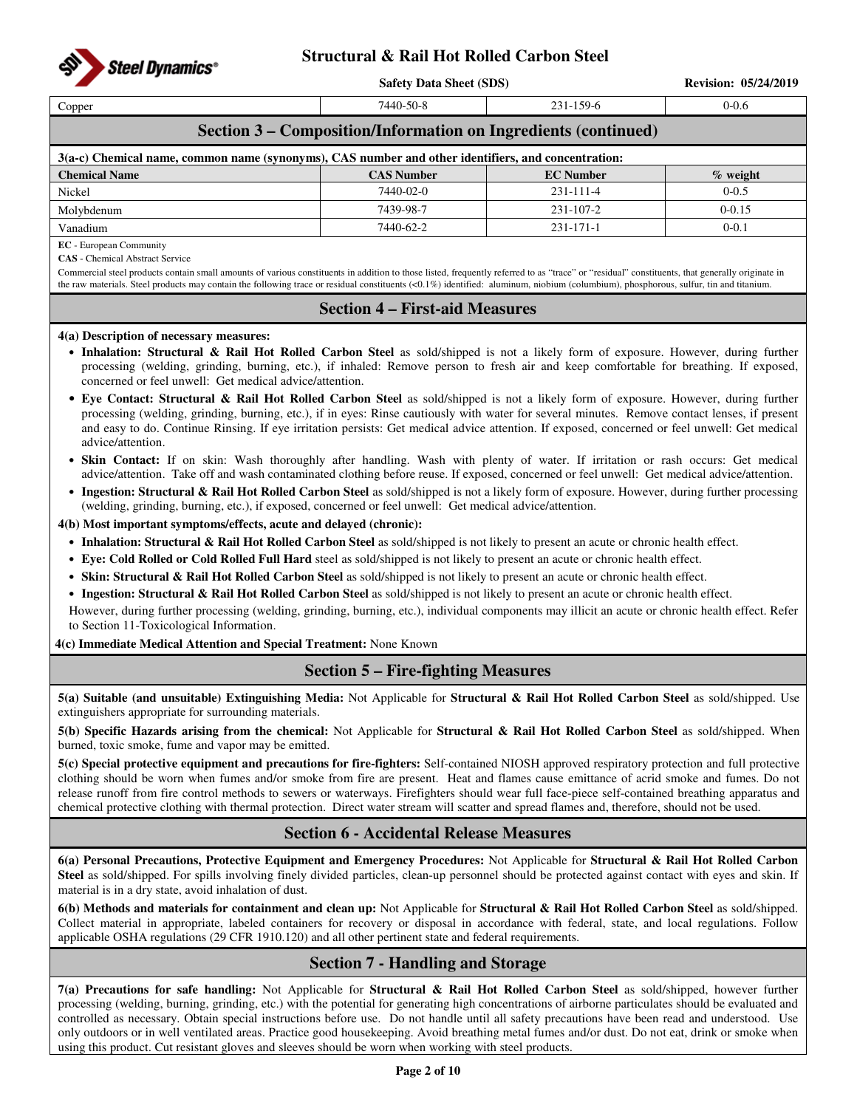

**Safety Data Sheet (SDS)** Revision: 05/24/2019

| Copper                                                                                               | 7440-50-8 | $231 - 159 - 6$ | $0 - 0.6$ |  |  |  |  |  |
|------------------------------------------------------------------------------------------------------|-----------|-----------------|-----------|--|--|--|--|--|
| Section 3 – Composition/Information on Ingredients (continued)                                       |           |                 |           |  |  |  |  |  |
| $3(a-c)$ Chemical name, common name (synonyms), CAS number and other identifiers, and concentration: |           |                 |           |  |  |  |  |  |
| <b>Chemical Name</b><br><b>CAS Number</b><br><b>EC</b> Number<br>$\%$ weight                         |           |                 |           |  |  |  |  |  |
| Nickel                                                                                               | 7440-02-0 | $231 - 111 - 4$ | $0 - 0.5$ |  |  |  |  |  |
|                                                                                                      |           |                 |           |  |  |  |  |  |

Vanadium 7440-62-2 231-171-1 0-0.1

**EC** - European Community

**CAS** - Chemical Abstract Service

Commercial steel products contain small amounts of various constituents in addition to those listed, frequently referred to as "trace" or "residual" constituents, that generally originate in the raw materials. Steel products may contain the following trace or residual constituents (<0.1%) identified: aluminum, niobium (columbium), phosphorous, sulfur, tin and titanium.

Molybdenum 0-0.15

### **Section 4 – First-aid Measures**

#### **4(a) Description of necessary measures:**

- **Inhalation: Structural & Rail Hot Rolled Carbon Steel** as sold/shipped is not a likely form of exposure. However, during further processing (welding, grinding, burning, etc.), if inhaled: Remove person to fresh air and keep comfortable for breathing. If exposed, concerned or feel unwell: Get medical advice/attention.
- **Eye Contact: Structural & Rail Hot Rolled Carbon Steel** as sold/shipped is not a likely form of exposure. However, during further processing (welding, grinding, burning, etc.), if in eyes: Rinse cautiously with water for several minutes. Remove contact lenses, if present and easy to do. Continue Rinsing. If eye irritation persists: Get medical advice attention. If exposed, concerned or feel unwell: Get medical advice/attention.
- **Skin Contact:** If on skin: Wash thoroughly after handling. Wash with plenty of water. If irritation or rash occurs: Get medical advice/attention. Take off and wash contaminated clothing before reuse. If exposed, concerned or feel unwell: Get medical advice/attention.
- **Ingestion: Structural & Rail Hot Rolled Carbon Steel** as sold/shipped is not a likely form of exposure. However, during further processing (welding, grinding, burning, etc.), if exposed, concerned or feel unwell: Get medical advice/attention.

**4(b) Most important symptoms/effects, acute and delayed (chronic):** 

- **Inhalation: Structural & Rail Hot Rolled Carbon Steel** as sold/shipped is not likely to present an acute or chronic health effect.
- **Eye: Cold Rolled or Cold Rolled Full Hard** steel as sold/shipped is not likely to present an acute or chronic health effect.
- **Skin: Structural & Rail Hot Rolled Carbon Steel** as sold/shipped is not likely to present an acute or chronic health effect.
- **Ingestion: Structural & Rail Hot Rolled Carbon Steel** as sold/shipped is not likely to present an acute or chronic health effect.

However, during further processing (welding, grinding, burning, etc.), individual components may illicit an acute or chronic health effect. Refer to Section 11-Toxicological Information.

**4(c) Immediate Medical Attention and Special Treatment:** None Known

### **Section 5 – Fire-fighting Measures**

**5(a) Suitable (and unsuitable) Extinguishing Media:** Not Applicable for **Structural & Rail Hot Rolled Carbon Steel** as sold/shipped. Use extinguishers appropriate for surrounding materials.

**5(b) Specific Hazards arising from the chemical:** Not Applicable for **Structural & Rail Hot Rolled Carbon Steel** as sold/shipped. When burned, toxic smoke, fume and vapor may be emitted.

**5(c) Special protective equipment and precautions for fire-fighters:** Self-contained NIOSH approved respiratory protection and full protective clothing should be worn when fumes and/or smoke from fire are present. Heat and flames cause emittance of acrid smoke and fumes. Do not release runoff from fire control methods to sewers or waterways. Firefighters should wear full face-piece self-contained breathing apparatus and chemical protective clothing with thermal protection. Direct water stream will scatter and spread flames and, therefore, should not be used.

### **Section 6 - Accidental Release Measures**

**6(a) Personal Precautions, Protective Equipment and Emergency Procedures:** Not Applicable for **Structural & Rail Hot Rolled Carbon Steel** as sold/shipped. For spills involving finely divided particles, clean-up personnel should be protected against contact with eyes and skin. If material is in a dry state, avoid inhalation of dust.

**6(b) Methods and materials for containment and clean up:** Not Applicable for **Structural & Rail Hot Rolled Carbon Steel** as sold/shipped. Collect material in appropriate, labeled containers for recovery or disposal in accordance with federal, state, and local regulations. Follow applicable OSHA regulations (29 CFR 1910.120) and all other pertinent state and federal requirements.

## **Section 7 - Handling and Storage**

**7(a) Precautions for safe handling:** Not Applicable for **Structural & Rail Hot Rolled Carbon Steel** as sold/shipped, however further processing (welding, burning, grinding, etc.) with the potential for generating high concentrations of airborne particulates should be evaluated and controlled as necessary. Obtain special instructions before use. Do not handle until all safety precautions have been read and understood. Use only outdoors or in well ventilated areas. Practice good housekeeping. Avoid breathing metal fumes and/or dust. Do not eat, drink or smoke when using this product. Cut resistant gloves and sleeves should be worn when working with steel products.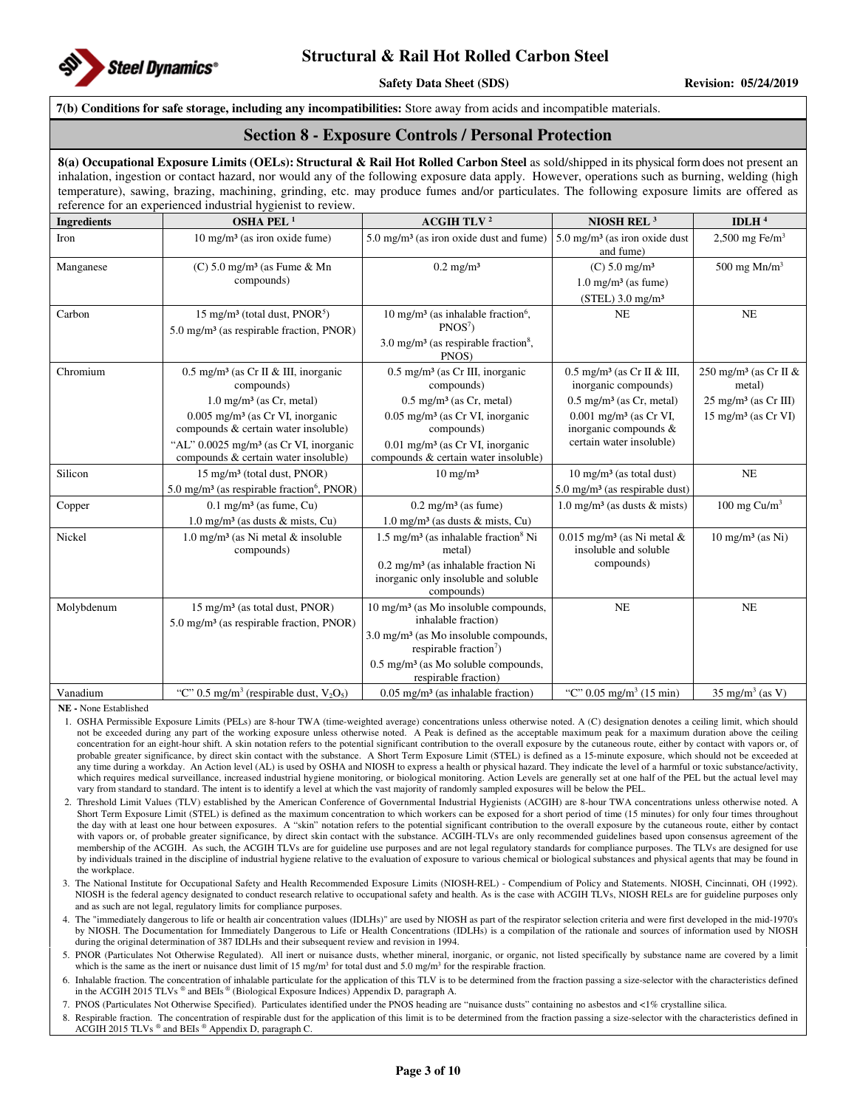

#### **7(b) Conditions for safe storage, including any incompatibilities:** Store away from acids and incompatible materials.

#### **Section 8 - Exposure Controls / Personal Protection**

**8(a) Occupational Exposure Limits (OELs): Structural & Rail Hot Rolled Carbon Steel** as sold/shipped in its physical form does not present an inhalation, ingestion or contact hazard, nor would any of the following exposure data apply. However, operations such as burning, welding (high temperature), sawing, brazing, machining, grinding, etc. may produce fumes and/or particulates. The following exposure limits are offered as reference for an experienced industrial hygienist to review.

| <b>Ingredients</b> | reference for an experienced industrial hygremotic orientem.<br>OSHA PEL <sup>1</sup>                                                                                                                                                                                                        | <b>ACGIH TLV<sup>2</sup></b>                                                                                                                                                                                                                                | NIOSH REL <sup>3</sup>                                                                                                                                                                                  | IDLH $4$                                                                                                             |
|--------------------|----------------------------------------------------------------------------------------------------------------------------------------------------------------------------------------------------------------------------------------------------------------------------------------------|-------------------------------------------------------------------------------------------------------------------------------------------------------------------------------------------------------------------------------------------------------------|---------------------------------------------------------------------------------------------------------------------------------------------------------------------------------------------------------|----------------------------------------------------------------------------------------------------------------------|
| Iron               | 10 mg/m <sup>3</sup> (as iron oxide fume)                                                                                                                                                                                                                                                    | $5.0 \text{ mg/m}^3$ (as iron oxide dust and fume)                                                                                                                                                                                                          | $5.0$ mg/m <sup>3</sup> (as iron oxide dust<br>and fume)                                                                                                                                                | $2,500$ mg Fe/m <sup>3</sup>                                                                                         |
| Manganese          | $(C)$ 5.0 mg/m <sup>3</sup> (as Fume & Mn<br>compounds)                                                                                                                                                                                                                                      | $0.2$ mg/m <sup>3</sup>                                                                                                                                                                                                                                     | $(C) 5.0$ mg/m <sup>3</sup><br>$1.0 \text{ mg/m}^3$ (as fume)<br>$(STEL)$ 3.0 mg/m <sup>3</sup>                                                                                                         | 500 mg $Mn/m3$                                                                                                       |
| Carbon             | 15 mg/m <sup>3</sup> (total dust, PNOR <sup>5</sup> )<br>$5.0 \text{ mg/m}^3$ (as respirable fraction, PNOR)                                                                                                                                                                                 | 10 mg/m <sup>3</sup> (as inhalable fraction <sup>6</sup> ,<br>PNOS <sup>7</sup><br>3.0 mg/m <sup>3</sup> (as respirable fraction <sup>8</sup> ,<br>PNOS)                                                                                                    | <b>NE</b>                                                                                                                                                                                               | NE                                                                                                                   |
| Chromium           | $0.5 \text{ mg/m}^3$ (as Cr II & III, inorganic<br>compounds)<br>$1.0 \text{ mg/m}^3$ (as Cr, metal)<br>$0.005$ mg/m <sup>3</sup> (as Cr VI, inorganic<br>compounds & certain water insoluble)<br>"AL" 0.0025 mg/m <sup>3</sup> (as Cr VI, inorganic<br>compounds & certain water insoluble) | $0.5$ mg/m <sup>3</sup> (as Cr III, inorganic<br>compounds)<br>$0.5$ mg/m <sup>3</sup> (as Cr, metal)<br>$0.05$ mg/m <sup>3</sup> (as Cr VI, inorganic<br>compounds)<br>0.01 mg/m <sup>3</sup> (as Cr VI, inorganic<br>compounds & certain water insoluble) | $0.5$ mg/m <sup>3</sup> (as Cr II & III,<br>inorganic compounds)<br>$0.5$ mg/m <sup>3</sup> (as Cr, metal)<br>$0.001$ mg/m <sup>3</sup> (as Cr VI,<br>inorganic compounds &<br>certain water insoluble) | 250 mg/m <sup>3</sup> (as Cr II $\&$<br>metal)<br>$25 \text{ mg/m}^3$ (as Cr III)<br>15 mg/m <sup>3</sup> (as Cr VI) |
| Silicon            | 15 mg/m <sup>3</sup> (total dust, PNOR)<br>5.0 mg/m <sup>3</sup> (as respirable fraction <sup>6</sup> , PNOR)                                                                                                                                                                                | $10 \text{ mg/m}^3$                                                                                                                                                                                                                                         | $10 \text{ mg/m}^3$ (as total dust)<br>$5.0 \text{ mg/m}^3$ (as respirable dust)                                                                                                                        | NE                                                                                                                   |
| Copper             | $0.1$ mg/m <sup>3</sup> (as fume, Cu)<br>$1.0 \text{ mg/m}^3$ (as dusts & mists, Cu)                                                                                                                                                                                                         | $0.2$ mg/m <sup>3</sup> (as fume)<br>$1.0 \text{ mg/m}^3$ (as dusts & mists, Cu)                                                                                                                                                                            | $1.0 \text{ mg/m}^3$ (as dusts & mists)                                                                                                                                                                 | 100 mg $Cu/m3$                                                                                                       |
| Nickel             | 1.0 mg/m <sup>3</sup> (as Ni metal $\&$ insoluble<br>compounds)                                                                                                                                                                                                                              | $1.5 \text{ mg/m}^3$ (as inhalable fraction <sup>8</sup> Ni<br>metal)<br>$0.2$ mg/m <sup>3</sup> (as inhalable fraction Ni<br>inorganic only insoluble and soluble<br>compounds)                                                                            | $0.015$ mg/m <sup>3</sup> (as Ni metal &<br>insoluble and soluble<br>compounds)                                                                                                                         | $10 \text{ mg/m}^3$ (as Ni)                                                                                          |
| Molybdenum         | 15 mg/m <sup>3</sup> (as total dust, PNOR)<br>$5.0 \text{ mg/m}^3$ (as respirable fraction, PNOR)                                                                                                                                                                                            | $10 \text{ mg/m}^3$ (as Mo insoluble compounds,<br>inhalable fraction)<br>$3.0 \text{ mg/m}^3$ (as Mo insoluble compounds,<br>respirable fraction <sup>7</sup> )<br>$0.5$ mg/m <sup>3</sup> (as Mo soluble compounds,<br>respirable fraction)               | <b>NE</b>                                                                                                                                                                                               | NE                                                                                                                   |
| Vanadium           | "C" 0.5 mg/m <sup>3</sup> (respirable dust, $V_2O_5$ )                                                                                                                                                                                                                                       | $0.05$ mg/m <sup>3</sup> (as inhalable fraction)                                                                                                                                                                                                            | "C" $0.05 \text{ mg/m}^3$ (15 min)                                                                                                                                                                      | $35 \text{ mg/m}^3$ (as V)                                                                                           |

**NE -** None Established

- 1. OSHA Permissible Exposure Limits (PELs) are 8-hour TWA (time-weighted average) concentrations unless otherwise noted. A (C) designation denotes a ceiling limit, which should not be exceeded during any part of the working exposure unless otherwise noted. A Peak is defined as the acceptable maximum peak for a maximum duration above the ceiling concentration for an eight-hour shift. A skin notation refers to the potential significant contribution to the overall exposure by the cutaneous route, either by contact with vapors or, of probable greater significance, by direct skin contact with the substance. A Short Term Exposure Limit (STEL) is defined as a 15-minute exposure, which should not be exceeded at any time during a workday. An Action level (AL) is used by OSHA and NIOSH to express a health or physical hazard. They indicate the level of a harmful or toxic substance/activity, which requires medical surveillance, increased industrial hygiene monitoring, or biological monitoring. Action Levels are generally set at one half of the PEL but the actual level may vary from standard to standard. The intent is to identify a level at which the vast majority of randomly sampled exposures will be below the PEL.
- 2. Threshold Limit Values (TLV) established by the American Conference of Governmental Industrial Hygienists (ACGIH) are 8-hour TWA concentrations unless otherwise noted. A Short Term Exposure Limit (STEL) is defined as the maximum concentration to which workers can be exposed for a short period of time (15 minutes) for only four times throughout the day with at least one hour between exposures. A "skin" notation refers to the potential significant contribution to the overall exposure by the cutaneous route, either by contact with vapors or, of probable greater significance, by direct skin contact with the substance. ACGIH-TLVs are only recommended guidelines based upon consensus agreement of the membership of the ACGIH. As such, the ACGIH TLVs are for guideline use purposes and are not legal regulatory standards for compliance purposes. The TLVs are designed for use by individuals trained in the discipline of industrial hygiene relative to the evaluation of exposure to various chemical or biological substances and physical agents that may be found in the workplace.
- 3. The National Institute for Occupational Safety and Health Recommended Exposure Limits (NIOSH-REL) Compendium of Policy and Statements. NIOSH, Cincinnati, OH (1992). NIOSH is the federal agency designated to conduct research relative to occupational safety and health. As is the case with ACGIH TLVs, NIOSH RELs are for guideline purposes only and as such are not legal, regulatory limits for compliance purposes.

4. The "immediately dangerous to life or health air concentration values (IDLHs)" are used by NIOSH as part of the respirator selection criteria and were first developed in the mid-1970's by NIOSH. The Documentation for Immediately Dangerous to Life or Health Concentrations (IDLHs) is a compilation of the rationale and sources of information used by NIOSH during the original determination of 387 IDLHs and their subsequent review and revision in 1994.

- 5. PNOR (Particulates Not Otherwise Regulated). All inert or nuisance dusts, whether mineral, inorganic, or organic, not listed specifically by substance name are covered by a limit which is the same as the inert or nuisance dust limit of 15 mg/m<sup>3</sup> for total dust and 5.0 mg/m<sup>3</sup> for the respirable fraction.
- 6. Inhalable fraction. The concentration of inhalable particulate for the application of this TLV is to be determined from the fraction passing a size-selector with the characteristics defined in the ACGIH 2015 TLVs ® and BEIs ® (Biological Exposure Indices) Appendix D, paragraph A.

7. PNOS (Particulates Not Otherwise Specified). Particulates identified under the PNOS heading are "nuisance dusts" containing no asbestos and <1% crystalline silica.

Respirable fraction. The concentration of respirable dust for the application of this limit is to be determined from the fraction passing a size-selector with the characteristics defined in ACGIH 2015 TLVs ® and BEIs ® Appendix D, paragraph C.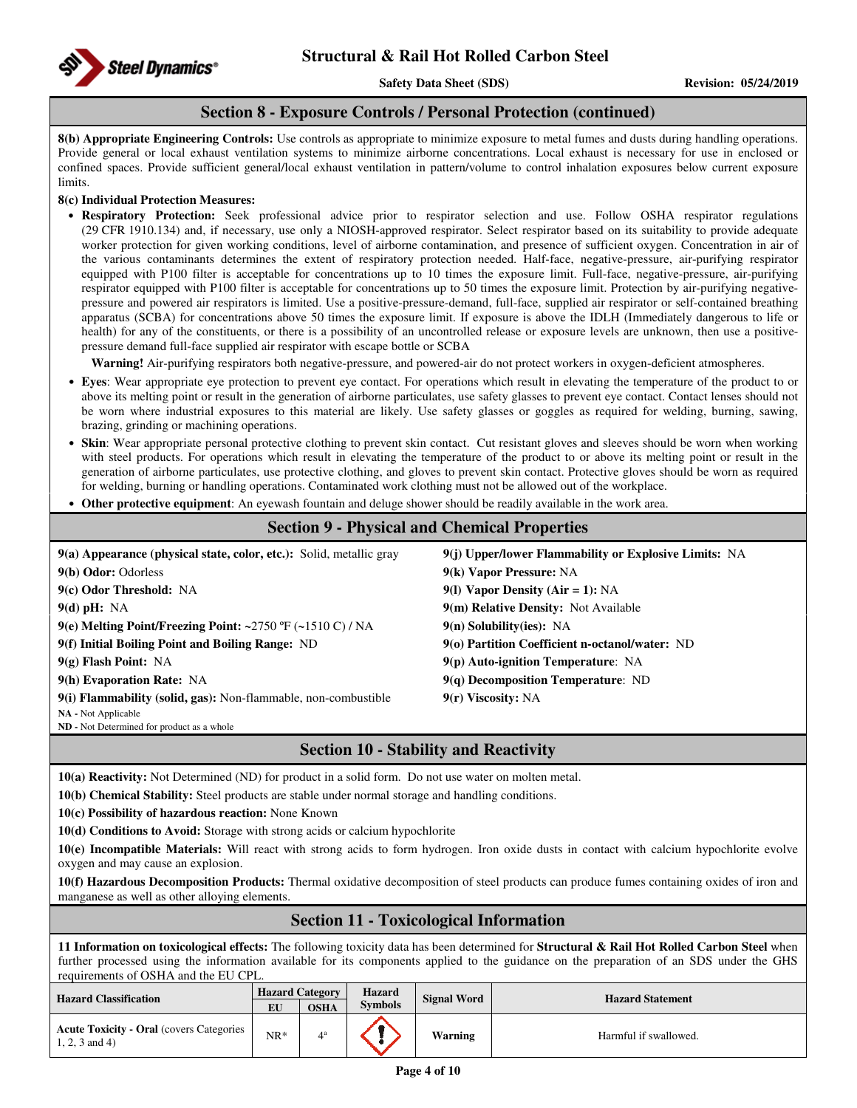#### **Section 8 - Exposure Controls / Personal Protection (continued)**

**8(b) Appropriate Engineering Controls:** Use controls as appropriate to minimize exposure to metal fumes and dusts during handling operations. Provide general or local exhaust ventilation systems to minimize airborne concentrations. Local exhaust is necessary for use in enclosed or confined spaces. Provide sufficient general/local exhaust ventilation in pattern/volume to control inhalation exposures below current exposure **limits** 

#### **8(c) Individual Protection Measures:**

• **Respiratory Protection:** Seek professional advice prior to respirator selection and use. Follow OSHA respirator regulations (29 CFR 1910.134) and, if necessary, use only a NIOSH-approved respirator. Select respirator based on its suitability to provide adequate worker protection for given working conditions, level of airborne contamination, and presence of sufficient oxygen. Concentration in air of the various contaminants determines the extent of respiratory protection needed. Half-face, negative-pressure, air-purifying respirator equipped with P100 filter is acceptable for concentrations up to 10 times the exposure limit. Full-face, negative-pressure, air-purifying respirator equipped with P100 filter is acceptable for concentrations up to 50 times the exposure limit. Protection by air-purifying negativepressure and powered air respirators is limited. Use a positive-pressure-demand, full-face, supplied air respirator or self-contained breathing apparatus (SCBA) for concentrations above 50 times the exposure limit. If exposure is above the IDLH (Immediately dangerous to life or health) for any of the constituents, or there is a possibility of an uncontrolled release or exposure levels are unknown, then use a positivepressure demand full-face supplied air respirator with escape bottle or SCBA

**Warning!** Air-purifying respirators both negative-pressure, and powered-air do not protect workers in oxygen-deficient atmospheres.

- **Eyes**: Wear appropriate eye protection to prevent eye contact. For operations which result in elevating the temperature of the product to or above its melting point or result in the generation of airborne particulates, use safety glasses to prevent eye contact. Contact lenses should not be worn where industrial exposures to this material are likely. Use safety glasses or goggles as required for welding, burning, sawing, brazing, grinding or machining operations.
- **Skin**: Wear appropriate personal protective clothing to prevent skin contact. Cut resistant gloves and sleeves should be worn when working with steel products. For operations which result in elevating the temperature of the product to or above its melting point or result in the generation of airborne particulates, use protective clothing, and gloves to prevent skin contact. Protective gloves should be worn as required for welding, burning or handling operations. Contaminated work clothing must not be allowed out of the workplace.
- **Other protective equipment**: An eyewash fountain and deluge shower should be readily available in the work area.

| <b>Section 9 - Physical and Chemical Properties</b>                   |                                                       |  |  |  |  |
|-----------------------------------------------------------------------|-------------------------------------------------------|--|--|--|--|
| $9(a)$ Appearance (physical state, color, etc.): Solid, metallic gray | 9(j) Upper/lower Flammability or Explosive Limits: NA |  |  |  |  |
| 9(b) Odor: Odorless                                                   | 9(k) Vapor Pressure: NA                               |  |  |  |  |
| 9(c) Odor Threshold: NA                                               | 9(1) Vapor Density (Air = 1): $NA$                    |  |  |  |  |
| $9(d)$ pH: NA                                                         | 9(m) Relative Density: Not Available                  |  |  |  |  |
| 9(e) Melting Point/Freezing Point: ~2750 $\degree$ F (~1510 C) / NA   | $9(n)$ Solubility(ies): NA                            |  |  |  |  |
| 9(f) Initial Boiling Point and Boiling Range: ND                      | 9(o) Partition Coefficient n-octanol/water: ND        |  |  |  |  |
| $9(g)$ Flash Point: NA                                                | $9(p)$ Auto-ignition Temperature: NA                  |  |  |  |  |
| 9(h) Evaporation Rate: NA                                             | $9(q)$ Decomposition Temperature: ND                  |  |  |  |  |
| 9(i) Flammability (solid, gas): Non-flammable, non-combustible        | 9(r) Viscosity: NA                                    |  |  |  |  |
| NA - Not Applicable                                                   |                                                       |  |  |  |  |

**ND -** Not Determined for product as a whole

## **Section 10 - Stability and Reactivity**

**10(a) Reactivity:** Not Determined (ND) for product in a solid form. Do not use water on molten metal.

**10(b) Chemical Stability:** Steel products are stable under normal storage and handling conditions.

**10(c) Possibility of hazardous reaction:** None Known

**10(d) Conditions to Avoid:** Storage with strong acids or calcium hypochlorite

**10(e) Incompatible Materials:** Will react with strong acids to form hydrogen. Iron oxide dusts in contact with calcium hypochlorite evolve oxygen and may cause an explosion.

**10(f) Hazardous Decomposition Products:** Thermal oxidative decomposition of steel products can produce fumes containing oxides of iron and manganese as well as other alloying elements.

### **Section 11 - Toxicological Information**

**11 Information on toxicological effects:** The following toxicity data has been determined for **Structural & Rail Hot Rolled Carbon Steel** when further processed using the information available for its components applied to the guidance on the preparation of an SDS under the GHS requirements of OSHA and the EU CPL.

| <b>Hazard Classification</b>                                         | <b>Hazard Category</b><br>EU | <b>OSHA</b> | <b>Hazard</b><br><b>Signal Word</b><br><b>Symbols</b> |         | <b>Hazard Statement</b> |  |
|----------------------------------------------------------------------|------------------------------|-------------|-------------------------------------------------------|---------|-------------------------|--|
| <b>Acute Toxicity - Oral (covers Categories)</b><br>$1, 2, 3$ and 4) | $NR*$                        |             |                                                       | Warning | Harmful if swallowed.   |  |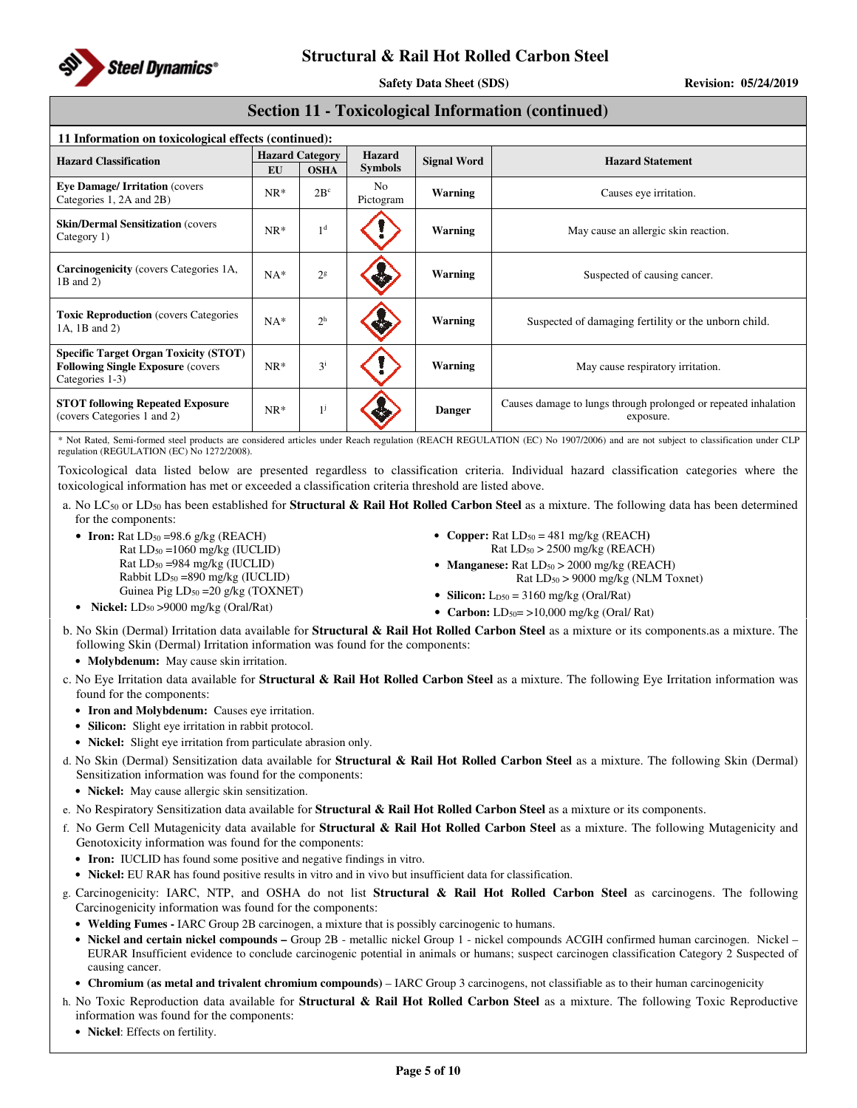

**Safety Data Sheet (SDS)** Revision: 05/24/2019

### **Section 11 - Toxicological Information (continued)**

| 11 Information on toxicological effects (continued):                                                         |                        |                |                             |                    |                                                                              |  |
|--------------------------------------------------------------------------------------------------------------|------------------------|----------------|-----------------------------|--------------------|------------------------------------------------------------------------------|--|
| <b>Hazard Classification</b>                                                                                 | <b>Hazard Category</b> |                | Hazard                      | <b>Signal Word</b> | <b>Hazard Statement</b>                                                      |  |
|                                                                                                              | EU                     | <b>OSHA</b>    | <b>Symbols</b>              |                    |                                                                              |  |
| <b>Eye Damage/Irritation (covers)</b><br>Categories 1, 2A and 2B)                                            | $NR*$                  | $2B^c$         | N <sub>o</sub><br>Pictogram | Warning            | Causes eye irritation.                                                       |  |
| <b>Skin/Dermal Sensitization (covers)</b><br>Category 1)                                                     | $NR*$                  | 1 <sup>d</sup> |                             | Warning            | May cause an allergic skin reaction.                                         |  |
| <b>Carcinogenicity</b> (covers Categories 1A,<br>1B and 2)                                                   | $NA*$                  | 2 <sup>g</sup> |                             | <b>Warning</b>     | Suspected of causing cancer.                                                 |  |
| <b>Toxic Reproduction</b> (covers Categories<br>1A, 1B and 2)                                                | $NA*$                  | $2^h$          |                             | Warning            | Suspected of damaging fertility or the unborn child.                         |  |
| <b>Specific Target Organ Toxicity (STOT)</b><br><b>Following Single Exposure (covers)</b><br>Categories 1-3) | $NR*$                  | $3^{i}$        |                             | <b>Warning</b>     | May cause respiratory irritation.                                            |  |
| <b>STOT following Repeated Exposure</b><br>(covers Categories 1 and 2)                                       | $NR*$                  | $1^{j}$        |                             | <b>Danger</b>      | Causes damage to lungs through prolonged or repeated inhalation<br>exposure. |  |

\* Not Rated, Semi-formed steel products are considered articles under Reach regulation (REACH REGULATION (EC) No 1907/2006) and are not subject to classification under CLP regulation (REGULATION (EC) No 1272/2008).

Toxicological data listed below are presented regardless to classification criteria. Individual hazard classification categories where the toxicological information has met or exceeded a classification criteria threshold are listed above.

- a. No LC50 or LD50 has been established for **Structural & Rail Hot Rolled Carbon Steel** as a mixture. The following data has been determined for the components:
	- **Iron:** Rat LD<sub>50</sub> = 98.6 g/kg (REACH)  $Rat LD<sub>50</sub> = 1060 mg/kg (IUCLID)$ Rat LD50 =984 mg/kg (IUCLID) Rabbit LD50 =890 mg/kg (IUCLID) Guinea Pig LD<sub>50</sub> = 20 g/kg (TOXNET) • **Nickel:**  $LD_{50} > 9000$  mg/kg (Oral/Rat)
- **Copper:** Rat  $LD_{50} = 481$  mg/kg (REACH) Rat  $LD_{50}$  > 2500 mg/kg (REACH)
- **Manganese:** Rat  $LD_{50} > 2000$  mg/kg (REACH) Rat LD50 > 9000 mg/kg (NLM Toxnet)
- **Silicon:**  $L_{D50} = 3160$  mg/kg (Oral/Rat)
- **Carbon:**  $LD_{50} = \frac{10,000 \text{ mg/kg}}{C}$  (Oral/Rat)

b. No Skin (Dermal) Irritation data available for **Structural & Rail Hot Rolled Carbon Steel** as a mixture or its components.as a mixture. The following Skin (Dermal) Irritation information was found for the components:

• **Molybdenum:** May cause skin irritation.

c. No Eye Irritation data available for **Structural & Rail Hot Rolled Carbon Steel** as a mixture. The following Eye Irritation information was found for the components:

- **Iron and Molybdenum:** Causes eye irritation.
- **Silicon:** Slight eye irritation in rabbit protocol.
- **Nickel:** Slight eye irritation from particulate abrasion only.
- d. No Skin (Dermal) Sensitization data available for **Structural & Rail Hot Rolled Carbon Steel** as a mixture. The following Skin (Dermal) Sensitization information was found for the components:
	- **Nickel:** May cause allergic skin sensitization.
- e. No Respiratory Sensitization data available for **Structural & Rail Hot Rolled Carbon Steel** as a mixture or its components.
- f. No Germ Cell Mutagenicity data available for **Structural & Rail Hot Rolled Carbon Steel** as a mixture. The following Mutagenicity and Genotoxicity information was found for the components:
	- **Iron:** IUCLID has found some positive and negative findings in vitro.
	- **Nickel:** EU RAR has found positive results in vitro and in vivo but insufficient data for classification.
- g. Carcinogenicity: IARC, NTP, and OSHA do not list **Structural & Rail Hot Rolled Carbon Steel** as carcinogens. The following Carcinogenicity information was found for the components:
	- **Welding Fumes -** IARC Group 2B carcinogen, a mixture that is possibly carcinogenic to humans.
	- **Nickel and certain nickel compounds** Group 2B metallic nickel Group 1 nickel compounds ACGIH confirmed human carcinogen. Nickel EURAR Insufficient evidence to conclude carcinogenic potential in animals or humans; suspect carcinogen classification Category 2 Suspected of causing cancer.
	- **Chromium (as metal and trivalent chromium compounds)**  IARC Group 3 carcinogens, not classifiable as to their human carcinogenicity
- h. No Toxic Reproduction data available for **Structural & Rail Hot Rolled Carbon Steel** as a mixture. The following Toxic Reproductive information was found for the components:
	- **Nickel**: Effects on fertility.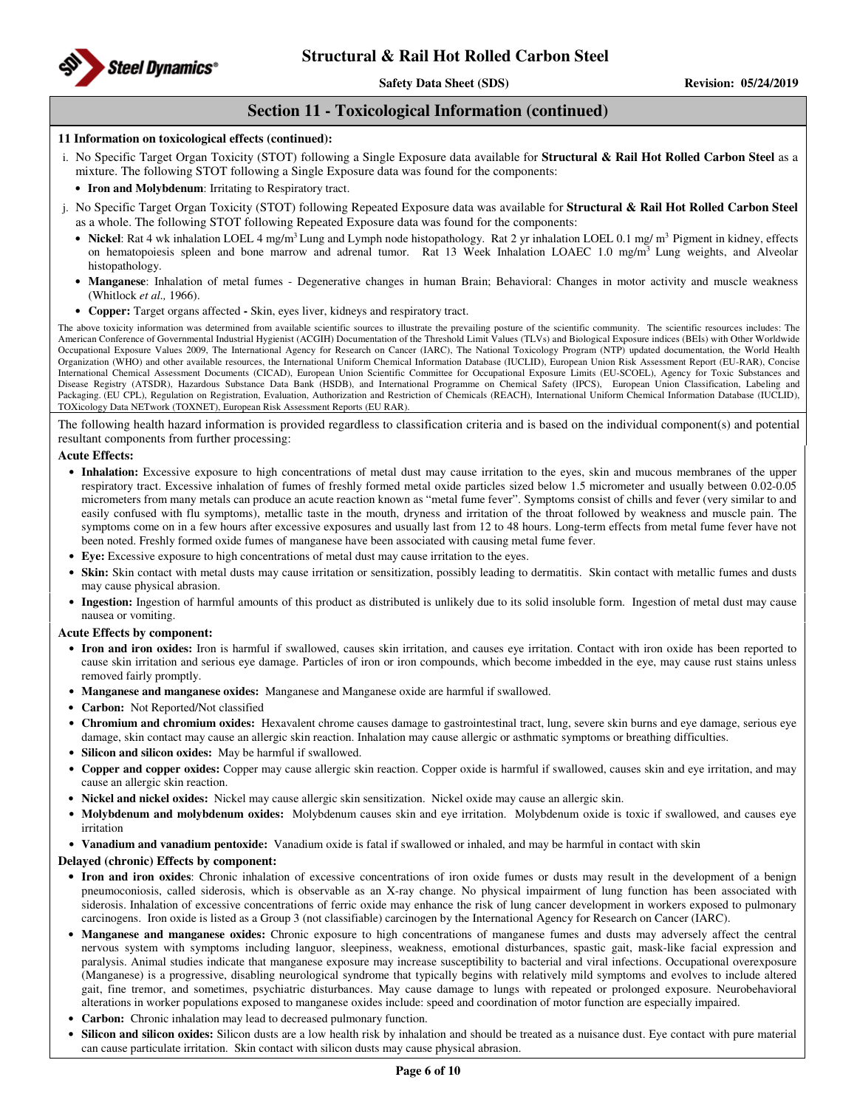

### **Section 11 - Toxicological Information (continued)**

#### **11 Information on toxicological effects (continued):**

- i. No Specific Target Organ Toxicity (STOT) following a Single Exposure data available for **Structural & Rail Hot Rolled Carbon Steel** as a mixture. The following STOT following a Single Exposure data was found for the components:
	- **Iron and Molybdenum**: Irritating to Respiratory tract.
- j. No Specific Target Organ Toxicity (STOT) following Repeated Exposure data was available for **Structural & Rail Hot Rolled Carbon Steel** as a whole. The following STOT following Repeated Exposure data was found for the components:
	- Nickel: Rat 4 wk inhalation LOEL 4 mg/m<sup>3</sup> Lung and Lymph node histopathology. Rat 2 yr inhalation LOEL 0.1 mg/ m<sup>3</sup> Pigment in kidney, effects on hematopoiesis spleen and bone marrow and adrenal tumor. Rat 13 Week Inhalation LOAEC 1.0 mg/m<sup>3</sup> Lung weights, and Alveolar histopathology.
	- **Manganese**: Inhalation of metal fumes Degenerative changes in human Brain; Behavioral: Changes in motor activity and muscle weakness (Whitlock *et al.,* 1966).
	- **Copper:** Target organs affected **-** Skin, eyes liver, kidneys and respiratory tract.

The above toxicity information was determined from available scientific sources to illustrate the prevailing posture of the scientific community. The scientific resources includes: The American Conference of Governmental Industrial Hygienist (ACGIH) Documentation of the Threshold Limit Values (TLVs) and Biological Exposure indices (BEIs) with Other Worldwide Occupational Exposure Values 2009, The International Agency for Research on Cancer (IARC), The National Toxicology Program (NTP) updated documentation, the World Health Organization (WHO) and other available resources, the International Uniform Chemical Information Database (IUCLID), European Union Risk Assessment Report (EU-RAR), Concise International Chemical Assessment Documents (CICAD), European Union Scientific Committee for Occupational Exposure Limits (EU-SCOEL), Agency for Toxic Substances and Disease Registry (ATSDR), Hazardous Substance Data Bank (HSDB), and International Programme on Chemical Safety (IPCS), European Union Classification, Labeling and Packaging. (EU CPL), Regulation on Registration, Evaluation, Authorization and Restriction of Chemicals (REACH), International Uniform Chemical Information Database (IUCLID), ology Data NETwork (TOXNET), European Risk Assessment Reports (EU RAR).

The following health hazard information is provided regardless to classification criteria and is based on the individual component(s) and potential resultant components from further processing:

#### **Acute Effects:**

- **Inhalation:** Excessive exposure to high concentrations of metal dust may cause irritation to the eyes, skin and mucous membranes of the upper respiratory tract. Excessive inhalation of fumes of freshly formed metal oxide particles sized below 1.5 micrometer and usually between 0.02-0.05 micrometers from many metals can produce an acute reaction known as "metal fume fever". Symptoms consist of chills and fever (very similar to and easily confused with flu symptoms), metallic taste in the mouth, dryness and irritation of the throat followed by weakness and muscle pain. The symptoms come on in a few hours after excessive exposures and usually last from 12 to 48 hours. Long-term effects from metal fume fever have not been noted. Freshly formed oxide fumes of manganese have been associated with causing metal fume fever.
- **Eye:** Excessive exposure to high concentrations of metal dust may cause irritation to the eyes.
- **Skin:** Skin contact with metal dusts may cause irritation or sensitization, possibly leading to dermatitis. Skin contact with metallic fumes and dusts may cause physical abrasion.
- **Ingestion:** Ingestion of harmful amounts of this product as distributed is unlikely due to its solid insoluble form. Ingestion of metal dust may cause nausea or vomiting.

#### **Acute Effects by component:**

- **Iron and iron oxides:** Iron is harmful if swallowed, causes skin irritation, and causes eye irritation. Contact with iron oxide has been reported to cause skin irritation and serious eye damage. Particles of iron or iron compounds, which become imbedded in the eye, may cause rust stains unless removed fairly promptly.
- **Manganese and manganese oxides:** Manganese and Manganese oxide are harmful if swallowed.
- **Carbon:** Not Reported/Not classified
- **Chromium and chromium oxides:** Hexavalent chrome causes damage to gastrointestinal tract, lung, severe skin burns and eye damage, serious eye damage, skin contact may cause an allergic skin reaction. Inhalation may cause allergic or asthmatic symptoms or breathing difficulties.
- **Silicon and silicon oxides:** May be harmful if swallowed.
- **Copper and copper oxides:** Copper may cause allergic skin reaction. Copper oxide is harmful if swallowed, causes skin and eye irritation, and may cause an allergic skin reaction.
- **Nickel and nickel oxides:** Nickel may cause allergic skin sensitization. Nickel oxide may cause an allergic skin.
- **Molybdenum and molybdenum oxides:** Molybdenum causes skin and eye irritation. Molybdenum oxide is toxic if swallowed, and causes eye irritation
- **Vanadium and vanadium pentoxide:** Vanadium oxide is fatal if swallowed or inhaled, and may be harmful in contact with skin

#### **Delayed (chronic) Effects by component:**

- **Iron and iron oxides**: Chronic inhalation of excessive concentrations of iron oxide fumes or dusts may result in the development of a benign pneumoconiosis, called siderosis, which is observable as an X-ray change. No physical impairment of lung function has been associated with siderosis. Inhalation of excessive concentrations of ferric oxide may enhance the risk of lung cancer development in workers exposed to pulmonary carcinogens. Iron oxide is listed as a Group 3 (not classifiable) carcinogen by the International Agency for Research on Cancer (IARC).
- **Manganese and manganese oxides:** Chronic exposure to high concentrations of manganese fumes and dusts may adversely affect the central nervous system with symptoms including languor, sleepiness, weakness, emotional disturbances, spastic gait, mask-like facial expression and paralysis. Animal studies indicate that manganese exposure may increase susceptibility to bacterial and viral infections. Occupational overexposure (Manganese) is a progressive, disabling neurological syndrome that typically begins with relatively mild symptoms and evolves to include altered gait, fine tremor, and sometimes, psychiatric disturbances. May cause damage to lungs with repeated or prolonged exposure. Neurobehavioral alterations in worker populations exposed to manganese oxides include: speed and coordination of motor function are especially impaired.
- **Carbon:** Chronic inhalation may lead to decreased pulmonary function.
- **Silicon and silicon oxides:** Silicon dusts are a low health risk by inhalation and should be treated as a nuisance dust. Eye contact with pure material can cause particulate irritation. Skin contact with silicon dusts may cause physical abrasion.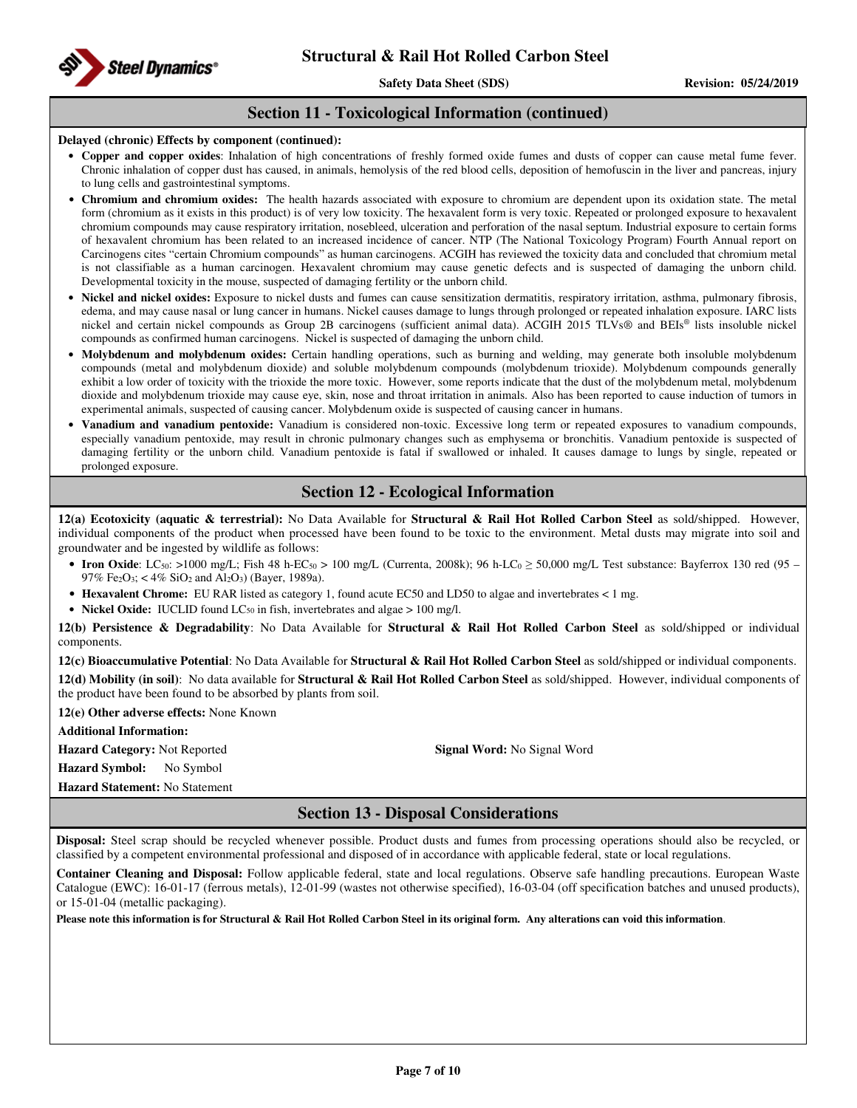

### **Section 11 - Toxicological Information (continued)**

#### **Delayed (chronic) Effects by component (continued):**

- **Copper and copper oxides**: Inhalation of high concentrations of freshly formed oxide fumes and dusts of copper can cause metal fume fever. Chronic inhalation of copper dust has caused, in animals, hemolysis of the red blood cells, deposition of hemofuscin in the liver and pancreas, injury to lung cells and gastrointestinal symptoms.
- **Chromium and chromium oxides:** The health hazards associated with exposure to chromium are dependent upon its oxidation state. The metal form (chromium as it exists in this product) is of very low toxicity. The hexavalent form is very toxic. Repeated or prolonged exposure to hexavalent chromium compounds may cause respiratory irritation, nosebleed, ulceration and perforation of the nasal septum. Industrial exposure to certain forms of hexavalent chromium has been related to an increased incidence of cancer. NTP (The National Toxicology Program) Fourth Annual report on Carcinogens cites "certain Chromium compounds" as human carcinogens. ACGIH has reviewed the toxicity data and concluded that chromium metal is not classifiable as a human carcinogen. Hexavalent chromium may cause genetic defects and is suspected of damaging the unborn child. Developmental toxicity in the mouse, suspected of damaging fertility or the unborn child.
- **Nickel and nickel oxides:** Exposure to nickel dusts and fumes can cause sensitization dermatitis, respiratory irritation, asthma, pulmonary fibrosis, edema, and may cause nasal or lung cancer in humans. Nickel causes damage to lungs through prolonged or repeated inhalation exposure. IARC lists nickel and certain nickel compounds as Group 2B carcinogens (sufficient animal data). ACGIH 2015 TLVs® and BEIs® lists insoluble nickel compounds as confirmed human carcinogens. Nickel is suspected of damaging the unborn child.
- **Molybdenum and molybdenum oxides:** Certain handling operations, such as burning and welding, may generate both insoluble molybdenum compounds (metal and molybdenum dioxide) and soluble molybdenum compounds (molybdenum trioxide). Molybdenum compounds generally exhibit a low order of toxicity with the trioxide the more toxic. However, some reports indicate that the dust of the molybdenum metal, molybdenum dioxide and molybdenum trioxide may cause eye, skin, nose and throat irritation in animals. Also has been reported to cause induction of tumors in experimental animals, suspected of causing cancer. Molybdenum oxide is suspected of causing cancer in humans.
- **Vanadium and vanadium pentoxide:** Vanadium is considered non-toxic. Excessive long term or repeated exposures to vanadium compounds, especially vanadium pentoxide, may result in chronic pulmonary changes such as emphysema or bronchitis. Vanadium pentoxide is suspected of damaging fertility or the unborn child. Vanadium pentoxide is fatal if swallowed or inhaled. It causes damage to lungs by single, repeated or prolonged exposure.

### **Section 12 - Ecological Information**

**12(a) Ecotoxicity (aquatic & terrestrial):** No Data Available for **Structural & Rail Hot Rolled Carbon Steel** as sold/shipped. However, individual components of the product when processed have been found to be toxic to the environment. Metal dusts may migrate into soil and groundwater and be ingested by wildlife as follows:

- **Iron Oxide**: LC<sub>50</sub>: >1000 mg/L; Fish 48 h-EC<sub>50</sub> > 100 mg/L (Currenta, 2008k); 96 h-LC<sub>0</sub>  $\geq$  50,000 mg/L Test substance: Bayferrox 130 red (95 97% Fe2O3; < 4% SiO2 and Al2O3) (Bayer, 1989a).
- **Hexavalent Chrome:** EU RAR listed as category 1, found acute EC50 and LD50 to algae and invertebrates < 1 mg.
- Nickel Oxide: IUCLID found LC<sub>50</sub> in fish, invertebrates and algae > 100 mg/l.

**12(b) Persistence & Degradability**: No Data Available for **Structural & Rail Hot Rolled Carbon Steel** as sold/shipped or individual components.

**12(c) Bioaccumulative Potential**: No Data Available for **Structural & Rail Hot Rolled Carbon Steel** as sold/shipped or individual components. **12(d) Mobility (in soil)**: No data available for **Structural & Rail Hot Rolled Carbon Steel** as sold/shipped. However, individual components of the product have been found to be absorbed by plants from soil.

**12(e) Other adverse effects:** None Known

**Additional Information:** 

**Hazard Category:** Not Reported **Signal Word:** No Signal Word **Hazard Symbol:** No Symbol

**Hazard Statement:** No Statement

## **Section 13 - Disposal Considerations**

**Disposal:** Steel scrap should be recycled whenever possible. Product dusts and fumes from processing operations should also be recycled, or classified by a competent environmental professional and disposed of in accordance with applicable federal, state or local regulations.

**Container Cleaning and Disposal:** Follow applicable federal, state and local regulations. Observe safe handling precautions. European Waste Catalogue (EWC): 16-01-17 (ferrous metals), 12-01-99 (wastes not otherwise specified), 16-03-04 (off specification batches and unused products), or 15-01-04 (metallic packaging).

**Please note this information is for Structural & Rail Hot Rolled Carbon Steel in its original form. Any alterations can void this information**.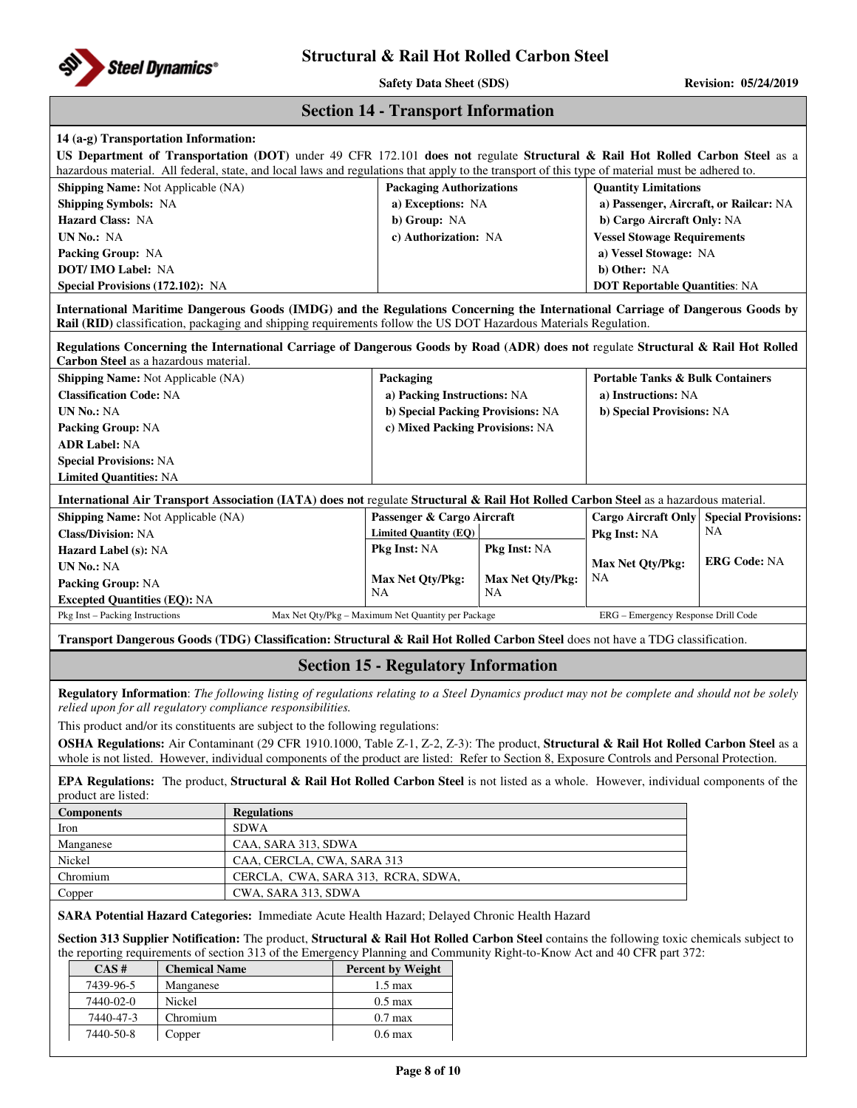

**Safety Data Sheet (SDS)** Revision: 05/24/2019

|  | <b>Section 14 - Transport Information</b> |  |
|--|-------------------------------------------|--|
|--|-------------------------------------------|--|

| 14 (a-g) Transportation Information:                                   |                                                                                                                                                                                                                                                                         | US Department of Transportation (DOT) under 49 CFR 172.101 does not regulate Structural & Rail Hot Rolled Carbon Steel as a                                                                                                                                                             |                                                    |                  |                                             |                            |  |
|------------------------------------------------------------------------|-------------------------------------------------------------------------------------------------------------------------------------------------------------------------------------------------------------------------------------------------------------------------|-----------------------------------------------------------------------------------------------------------------------------------------------------------------------------------------------------------------------------------------------------------------------------------------|----------------------------------------------------|------------------|---------------------------------------------|----------------------------|--|
|                                                                        |                                                                                                                                                                                                                                                                         | hazardous material. All federal, state, and local laws and regulations that apply to the transport of this type of material must be adhered to.                                                                                                                                         |                                                    |                  |                                             |                            |  |
| Shipping Name: Not Applicable (NA)                                     |                                                                                                                                                                                                                                                                         |                                                                                                                                                                                                                                                                                         | <b>Packaging Authorizations</b>                    |                  | <b>Quantity Limitations</b>                 |                            |  |
| <b>Shipping Symbols: NA</b>                                            |                                                                                                                                                                                                                                                                         |                                                                                                                                                                                                                                                                                         | a) Exceptions: NA                                  |                  | a) Passenger, Aircraft, or Railcar: NA      |                            |  |
| <b>Hazard Class: NA</b>                                                |                                                                                                                                                                                                                                                                         |                                                                                                                                                                                                                                                                                         | b) Group: NA                                       |                  | b) Cargo Aircraft Only: NA                  |                            |  |
| UN No.: NA                                                             |                                                                                                                                                                                                                                                                         |                                                                                                                                                                                                                                                                                         | c) Authorization: NA                               |                  | <b>Vessel Stowage Requirements</b>          |                            |  |
| Packing Group: NA                                                      |                                                                                                                                                                                                                                                                         |                                                                                                                                                                                                                                                                                         |                                                    |                  | a) Vessel Stowage: NA                       |                            |  |
| DOT/ IMO Label: NA                                                     |                                                                                                                                                                                                                                                                         |                                                                                                                                                                                                                                                                                         |                                                    |                  | b) Other: NA                                |                            |  |
| Special Provisions (172.102): NA                                       |                                                                                                                                                                                                                                                                         |                                                                                                                                                                                                                                                                                         |                                                    |                  | <b>DOT Reportable Quantities: NA</b>        |                            |  |
|                                                                        |                                                                                                                                                                                                                                                                         | International Maritime Dangerous Goods (IMDG) and the Regulations Concerning the International Carriage of Dangerous Goods by<br>Rail (RID) classification, packaging and shipping requirements follow the US DOT Hazardous Materials Regulation.                                       |                                                    |                  |                                             |                            |  |
| Carbon Steel as a hazardous material.                                  |                                                                                                                                                                                                                                                                         | Regulations Concerning the International Carriage of Dangerous Goods by Road (ADR) does not regulate Structural & Rail Hot Rolled                                                                                                                                                       |                                                    |                  |                                             |                            |  |
| Shipping Name: Not Applicable (NA)                                     |                                                                                                                                                                                                                                                                         |                                                                                                                                                                                                                                                                                         | Packaging                                          |                  | <b>Portable Tanks &amp; Bulk Containers</b> |                            |  |
| <b>Classification Code: NA</b>                                         |                                                                                                                                                                                                                                                                         |                                                                                                                                                                                                                                                                                         | a) Packing Instructions: NA                        |                  | a) Instructions: NA                         |                            |  |
| <b>UN No.: NA</b>                                                      |                                                                                                                                                                                                                                                                         |                                                                                                                                                                                                                                                                                         | b) Special Packing Provisions: NA                  |                  | b) Special Provisions: NA                   |                            |  |
| <b>Packing Group: NA</b>                                               |                                                                                                                                                                                                                                                                         |                                                                                                                                                                                                                                                                                         | c) Mixed Packing Provisions: NA                    |                  |                                             |                            |  |
| <b>ADR Label: NA</b>                                                   |                                                                                                                                                                                                                                                                         |                                                                                                                                                                                                                                                                                         |                                                    |                  |                                             |                            |  |
| <b>Special Provisions: NA</b>                                          |                                                                                                                                                                                                                                                                         |                                                                                                                                                                                                                                                                                         |                                                    |                  |                                             |                            |  |
| <b>Limited Quantities: NA</b>                                          |                                                                                                                                                                                                                                                                         |                                                                                                                                                                                                                                                                                         |                                                    |                  |                                             |                            |  |
|                                                                        |                                                                                                                                                                                                                                                                         | International Air Transport Association (IATA) does not regulate Structural & Rail Hot Rolled Carbon Steel as a hazardous material.                                                                                                                                                     |                                                    |                  |                                             |                            |  |
| <b>Shipping Name:</b> Not Applicable (NA)                              |                                                                                                                                                                                                                                                                         |                                                                                                                                                                                                                                                                                         | Passenger & Cargo Aircraft                         |                  | <b>Cargo Aircraft Only</b>                  | <b>Special Provisions:</b> |  |
| <b>Class/Division: NA</b>                                              |                                                                                                                                                                                                                                                                         |                                                                                                                                                                                                                                                                                         | <b>Limited Quantity (EQ)</b>                       |                  | Pkg Inst: NA                                | NA                         |  |
| Hazard Label (s): NA                                                   |                                                                                                                                                                                                                                                                         |                                                                                                                                                                                                                                                                                         | <b>Pkg Inst: NA</b>                                | Pkg Inst: NA     |                                             | <b>ERG Code: NA</b>        |  |
| <b>UN No.: NA</b>                                                      |                                                                                                                                                                                                                                                                         |                                                                                                                                                                                                                                                                                         | Max Net Qty/Pkg:                                   | Max Net Qty/Pkg: | Max Net Qty/Pkg:<br>NA                      |                            |  |
| Packing Group: NA                                                      |                                                                                                                                                                                                                                                                         |                                                                                                                                                                                                                                                                                         | NA                                                 | <b>NA</b>        |                                             |                            |  |
| <b>Excepted Quantities (EQ): NA</b><br>Pkg Inst - Packing Instructions |                                                                                                                                                                                                                                                                         |                                                                                                                                                                                                                                                                                         | Max Net Qty/Pkg - Maximum Net Quantity per Package |                  | ERG - Emergency Response Drill Code         |                            |  |
|                                                                        |                                                                                                                                                                                                                                                                         | Transport Dangerous Goods (TDG) Classification: Structural & Rail Hot Rolled Carbon Steel does not have a TDG classification.                                                                                                                                                           |                                                    |                  |                                             |                            |  |
|                                                                        |                                                                                                                                                                                                                                                                         |                                                                                                                                                                                                                                                                                         | <b>Section 15 - Regulatory Information</b>         |                  |                                             |                            |  |
|                                                                        |                                                                                                                                                                                                                                                                         | Regulatory Information: The following listing of regulations relating to a Steel Dynamics product may not be complete and should not be solely                                                                                                                                          |                                                    |                  |                                             |                            |  |
|                                                                        |                                                                                                                                                                                                                                                                         | relied upon for all regulatory compliance responsibilities.                                                                                                                                                                                                                             |                                                    |                  |                                             |                            |  |
|                                                                        |                                                                                                                                                                                                                                                                         | This product and/or its constituents are subject to the following regulations:                                                                                                                                                                                                          |                                                    |                  |                                             |                            |  |
|                                                                        |                                                                                                                                                                                                                                                                         | OSHA Regulations: Air Contaminant (29 CFR 1910.1000, Table Z-1, Z-2, Z-3): The product, Structural & Rail Hot Rolled Carbon Steel as a<br>whole is not listed. However, individual components of the product are listed: Refer to Section 8, Exposure Controls and Personal Protection. |                                                    |                  |                                             |                            |  |
| product are listed:                                                    |                                                                                                                                                                                                                                                                         | <b>EPA Regulations:</b> The product, <b>Structural &amp; Rail Hot Rolled Carbon Steel</b> is not listed as a whole. However, individual components of the                                                                                                                               |                                                    |                  |                                             |                            |  |
| <b>Components</b>                                                      |                                                                                                                                                                                                                                                                         | <b>Regulations</b>                                                                                                                                                                                                                                                                      |                                                    |                  |                                             |                            |  |
| Iron                                                                   |                                                                                                                                                                                                                                                                         | <b>SDWA</b>                                                                                                                                                                                                                                                                             |                                                    |                  |                                             |                            |  |
| Manganese                                                              |                                                                                                                                                                                                                                                                         | CAA, SARA 313, SDWA                                                                                                                                                                                                                                                                     |                                                    |                  |                                             |                            |  |
| Nickel                                                                 |                                                                                                                                                                                                                                                                         | CAA, CERCLA, CWA, SARA 313                                                                                                                                                                                                                                                              |                                                    |                  |                                             |                            |  |
| Chromium                                                               |                                                                                                                                                                                                                                                                         | CERCLA, CWA, SARA 313, RCRA, SDWA,                                                                                                                                                                                                                                                      |                                                    |                  |                                             |                            |  |
| Copper<br>CWA, SARA 313, SDWA                                          |                                                                                                                                                                                                                                                                         |                                                                                                                                                                                                                                                                                         |                                                    |                  |                                             |                            |  |
|                                                                        | SARA Potential Hazard Categories: Immediate Acute Health Hazard; Delayed Chronic Health Hazard                                                                                                                                                                          |                                                                                                                                                                                                                                                                                         |                                                    |                  |                                             |                            |  |
|                                                                        | Section 313 Supplier Notification: The product, Structural & Rail Hot Rolled Carbon Steel contains the following toxic chemicals subject to<br>the reporting requirements of section 313 of the Emergency Planning and Community Right-to-Know Act and 40 CFR part 372: |                                                                                                                                                                                                                                                                                         |                                                    |                  |                                             |                            |  |
| CAS#                                                                   | <b>Chemical Name</b>                                                                                                                                                                                                                                                    |                                                                                                                                                                                                                                                                                         | Percent by Weight                                  |                  |                                             |                            |  |
| 7439-96-5                                                              | Manganese                                                                                                                                                                                                                                                               |                                                                                                                                                                                                                                                                                         | $1.5 \text{ max}$                                  |                  |                                             |                            |  |
| 7440-02-0                                                              | Nickel                                                                                                                                                                                                                                                                  |                                                                                                                                                                                                                                                                                         | $0.5$ max                                          |                  |                                             |                            |  |
| 7440-47-3                                                              | Chromium                                                                                                                                                                                                                                                                |                                                                                                                                                                                                                                                                                         | $0.7$ max                                          |                  |                                             |                            |  |
| 7440-50-8                                                              | Copper                                                                                                                                                                                                                                                                  |                                                                                                                                                                                                                                                                                         | $0.6$ max                                          |                  |                                             |                            |  |
|                                                                        |                                                                                                                                                                                                                                                                         |                                                                                                                                                                                                                                                                                         |                                                    |                  |                                             |                            |  |
|                                                                        |                                                                                                                                                                                                                                                                         |                                                                                                                                                                                                                                                                                         |                                                    |                  |                                             |                            |  |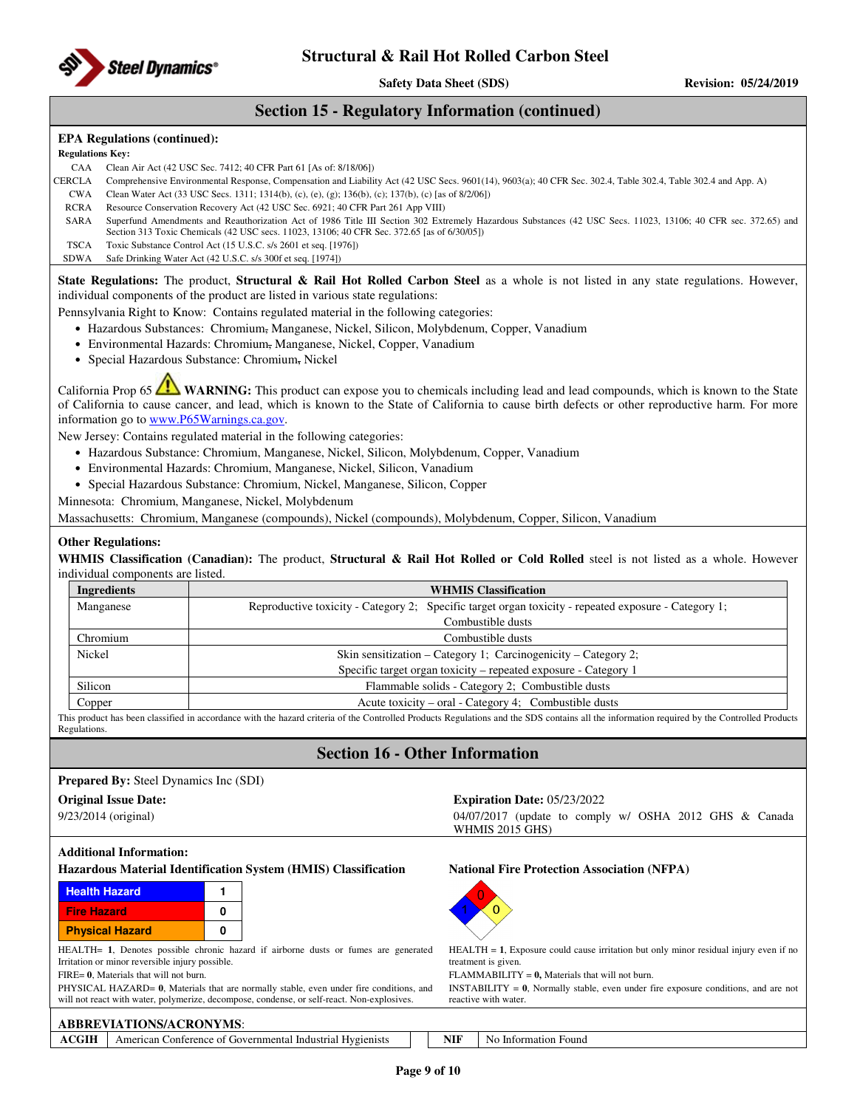

### **Section 15 - Regulatory Information (continued)**

### **EPA Regulations (continued):**

**Regulations Key:** 

- CAA Clean Air Act (42 USC Sec. 7412; 40 CFR Part 61 [As of: 8/18/06])
- CERCLA Comprehensive Environmental Response, Compensation and Liability Act (42 USC Secs. 9601(14), 9603(a); 40 CFR Sec. 302.4, Table 302.4, Table 302.4 and App. A)
- CWA Clean Water Act (33 USC Secs. 1311; 1314(b), (c), (e), (g); 136(b), (c); 137(b), (c) [as of 8/2/06])
- RCRA Resource Conservation Recovery Act (42 USC Sec. 6921; 40 CFR Part 261 App VIII)
- SARA Superfund Amendments and Reauthorization Act of 1986 Title III Section 302 Extremely Hazardous Substances (42 USC Secs. 11023, 13106; 40 CFR sec. 372.65) and Section 313 Toxic Chemicals (42 USC secs. 11023, 13106; 40 CFR Sec. 372.65 [as of 6/30/05])
- TSCA Toxic Substance Control Act (15 U.S.C. s/s 2601 et seq. [1976])

SDWA Safe Drinking Water Act (42 U.S.C. s/s 300f et seq. [1974])

**State Regulations:** The product, **Structural & Rail Hot Rolled Carbon Steel** as a whole is not listed in any state regulations. However, individual components of the product are listed in various state regulations:

Pennsylvania Right to Know: Contains regulated material in the following categories:

- Hazardous Substances: Chromium, Manganese, Nickel, Silicon, Molybdenum, Copper, Vanadium
- Environmental Hazards: Chromium, Manganese, Nickel, Copper, Vanadium
- Special Hazardous Substance: Chromium, Nickel

California Prop 65 **WARNING:** This product can expose you to chemicals including lead and lead compounds, which is known to the State of California to cause cancer, and lead, which is known to the State of California to cause birth defects or other reproductive harm. For more information go to **www.P65Warnings.ca.gov**.

New Jersey: Contains regulated material in the following categories:

- Hazardous Substance: Chromium, Manganese, Nickel, Silicon, Molybdenum, Copper, Vanadium
- Environmental Hazards: Chromium, Manganese, Nickel, Silicon, Vanadium
- Special Hazardous Substance: Chromium, Nickel, Manganese, Silicon, Copper
- Minnesota: Chromium, Manganese, Nickel, Molybdenum

Massachusetts: Chromium, Manganese (compounds), Nickel (compounds), Molybdenum, Copper, Silicon, Vanadium

#### **Other Regulations:**

**WHMIS Classification (Canadian):** The product, **Structural & Rail Hot Rolled or Cold Rolled** steel is not listed as a whole. However individual components are listed.

| Ingredients | <b>WHMIS Classification</b>                                                                                                                                                                 |  |  |  |  |  |
|-------------|---------------------------------------------------------------------------------------------------------------------------------------------------------------------------------------------|--|--|--|--|--|
| Manganese   | Reproductive toxicity - Category 2; Specific target organ toxicity - repeated exposure - Category 1;                                                                                        |  |  |  |  |  |
|             | Combustible dusts                                                                                                                                                                           |  |  |  |  |  |
| Chromium    | Combustible dusts                                                                                                                                                                           |  |  |  |  |  |
| Nickel      | Skin sensitization – Category 1; Carcinogenicity – Category 2;                                                                                                                              |  |  |  |  |  |
|             | Specific target organ toxicity – repeated exposure - Category 1                                                                                                                             |  |  |  |  |  |
| Silicon     | Flammable solids - Category 2: Combustible dusts                                                                                                                                            |  |  |  |  |  |
| Copper      | Acute toxicity – oral - Category 4; Combustible dusts                                                                                                                                       |  |  |  |  |  |
|             | This product has been classified in accordance with the bazard criteria of the Controlled Products Peopletions and the SDS contains all the information required by the Controlled Products |  |  |  |  |  |

This product has been classified in accordance with the hazard criteria of the Controlled Products Regulations and the SDS contains all the information required by the Controlled Products Regulations.

## **Section 16 - Other Information**

|                        | <b>Prepared By:</b> Steel Dynamics Inc (SDI)    |   |                                                                                                                                                                                       |            |                                                                                                                        |
|------------------------|-------------------------------------------------|---|---------------------------------------------------------------------------------------------------------------------------------------------------------------------------------------|------------|------------------------------------------------------------------------------------------------------------------------|
|                        | <b>Original Issue Date:</b>                     |   |                                                                                                                                                                                       |            | <b>Expiration Date: 05/23/2022</b>                                                                                     |
| $9/23/2014$ (original) |                                                 |   |                                                                                                                                                                                       |            | 04/07/2017 (update to comply w/ OSHA 2012 GHS & Canada<br><b>WHMIS 2015 GHS)</b>                                       |
|                        | <b>Additional Information:</b>                  |   |                                                                                                                                                                                       |            |                                                                                                                        |
|                        |                                                 |   | Hazardous Material Identification System (HMIS) Classification                                                                                                                        |            | <b>National Fire Protection Association (NFPA)</b>                                                                     |
| <b>Health Hazard</b>   |                                                 |   |                                                                                                                                                                                       |            |                                                                                                                        |
| <b>Fire Hazard</b>     |                                                 | 0 |                                                                                                                                                                                       |            |                                                                                                                        |
|                        | <b>Physical Hazard</b>                          | 0 |                                                                                                                                                                                       |            |                                                                                                                        |
|                        | Irritation or minor reversible injury possible. |   | HEALTH= 1, Denotes possible chronic hazard if airborne dusts or fumes are generated                                                                                                   |            | $HEALTH = 1$ , Exposure could cause irritation but only minor residual injury even if no<br>treatment is given.        |
|                        | FIRE= 0, Materials that will not burn.          |   |                                                                                                                                                                                       |            | $FLAMMABILITY = 0$ , Materials that will not burn.                                                                     |
|                        |                                                 |   | PHYSICAL HAZARD= 0, Materials that are normally stable, even under fire conditions, and<br>will not react with water, polymerize, decompose, condense, or self-react. Non-explosives. |            | INSTABILITY = $\mathbf{0}$ , Normally stable, even under fire exposure conditions, and are not<br>reactive with water. |
|                        | <b>ABBREVIATIONS/ACRONYMS:</b>                  |   |                                                                                                                                                                                       |            |                                                                                                                        |
| ACGIH                  |                                                 |   | American Conference of Governmental Industrial Hygienists                                                                                                                             | <b>NIF</b> | No Information Found                                                                                                   |